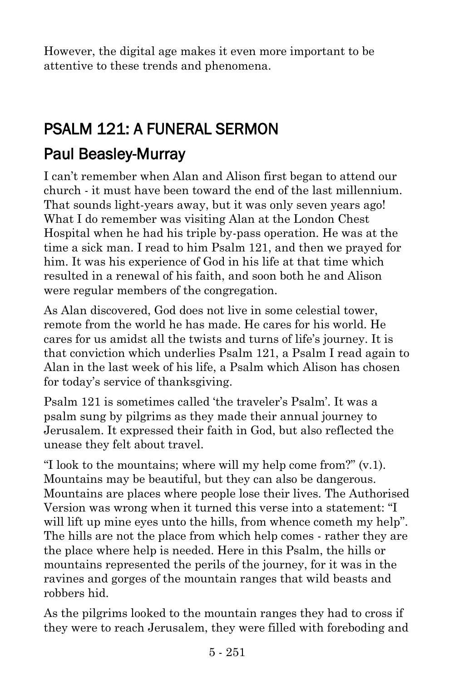However, the digital age makes it even more important to be attentive to these trends and phenomena.

# PSALM 121: A FUNERAL SERMON

### [Paul Beasley-Murray](https://www.ministrytoday.org.uk/magazine/authors/423/)

I can't remember when Alan and Alison first began to attend our church - it must have been toward the end of the last millennium. That sounds light-years away, but it was only seven years ago! What I do remember was visiting Alan at the London Chest Hospital when he had his triple by-pass operation. He was at the time a sick man. I read to him Psalm 121, and then we prayed for him. It was his experience of God in his life at that time which resulted in a renewal of his faith, and soon both he and Alison were regular members of the congregation.

As Alan discovered, God does not live in some celestial tower, remote from the world he has made. He cares for his world. He cares for us amidst all the twists and turns of life's journey. It is that conviction which underlies Psalm 121, a Psalm I read again to Alan in the last week of his life, a Psalm which Alison has chosen for today's service of thanksgiving.

Psalm 121 is sometimes called 'the traveler's Psalm'. It was a psalm sung by pilgrims as they made their annual journey to Jerusalem. It expressed their faith in God, but also reflected the unease they felt about travel.

"I look to the mountains; where will my help come from?" (v.1). Mountains may be beautiful, but they can also be dangerous. Mountains are places where people lose their lives. The Authorised Version was wrong when it turned this verse into a statement: "I will lift up mine eyes unto the hills, from whence cometh my help". The hills are not the place from which help comes - rather they are the place where help is needed. Here in this Psalm, the hills or mountains represented the perils of the journey, for it was in the ravines and gorges of the mountain ranges that wild beasts and robbers hid.

As the pilgrims looked to the mountain ranges they had to cross if they were to reach Jerusalem, they were filled with foreboding and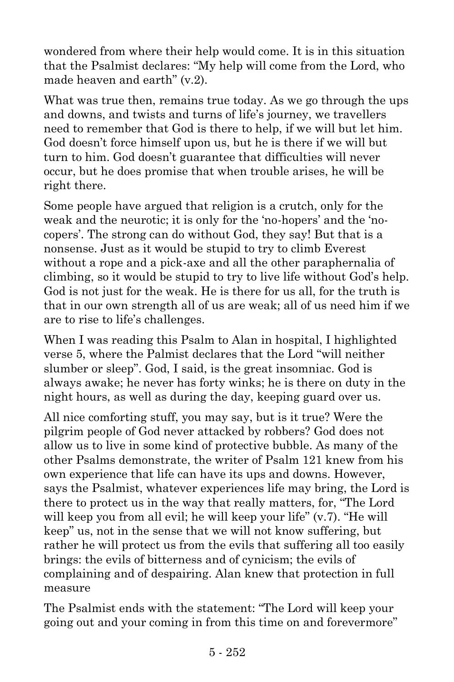wondered from where their help would come. It is in this situation that the Psalmist declares: "My help will come from the Lord, who made heaven and earth" (v.2).

What was true then, remains true today. As we go through the ups and downs, and twists and turns of life's journey, we travellers need to remember that God is there to help, if we will but let him. God doesn't force himself upon us, but he is there if we will but turn to him. God doesn't guarantee that difficulties will never occur, but he does promise that when trouble arises, he will be right there.

Some people have argued that religion is a crutch, only for the weak and the neurotic; it is only for the 'no-hopers' and the 'nocopers'. The strong can do without God, they say! But that is a nonsense. Just as it would be stupid to try to climb Everest without a rope and a pick-axe and all the other paraphernalia of climbing, so it would be stupid to try to live life without God's help. God is not just for the weak. He is there for us all, for the truth is that in our own strength all of us are weak; all of us need him if we are to rise to life's challenges.

When I was reading this Psalm to Alan in hospital, I highlighted verse 5, where the Palmist declares that the Lord "will neither slumber or sleep". God, I said, is the great insomniac. God is always awake; he never has forty winks; he is there on duty in the night hours, as well as during the day, keeping guard over us.

All nice comforting stuff, you may say, but is it true? Were the pilgrim people of God never attacked by robbers? God does not allow us to live in some kind of protective bubble. As many of the other Psalms demonstrate, the writer of Psalm 121 knew from his own experience that life can have its ups and downs. However, says the Psalmist, whatever experiences life may bring, the Lord is there to protect us in the way that really matters, for, "The Lord will keep you from all evil; he will keep your life" (v.7). "He will keep" us, not in the sense that we will not know suffering, but rather he will protect us from the evils that suffering all too easily brings: the evils of bitterness and of cynicism; the evils of complaining and of despairing. Alan knew that protection in full measure

The Psalmist ends with the statement: "The Lord will keep your going out and your coming in from this time on and forevermore"